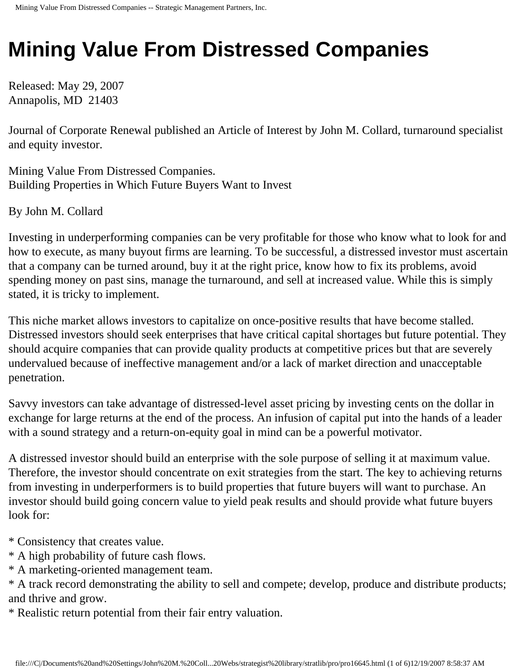## **Mining Value From Distressed Companies**

Released: May 29, 2007 Annapolis, MD 21403

Journal of Corporate Renewal published an Article of Interest by John M. Collard, turnaround specialist and equity investor.

Mining Value From Distressed Companies. Building Properties in Which Future Buyers Want to Invest

By John M. Collard

Investing in underperforming companies can be very profitable for those who know what to look for and how to execute, as many buyout firms are learning. To be successful, a distressed investor must ascertain that a company can be turned around, buy it at the right price, know how to fix its problems, avoid spending money on past sins, manage the turnaround, and sell at increased value. While this is simply stated, it is tricky to implement.

This niche market allows investors to capitalize on once-positive results that have become stalled. Distressed investors should seek enterprises that have critical capital shortages but future potential. They should acquire companies that can provide quality products at competitive prices but that are severely undervalued because of ineffective management and/or a lack of market direction and unacceptable penetration.

Savvy investors can take advantage of distressed-level asset pricing by investing cents on the dollar in exchange for large returns at the end of the process. An infusion of capital put into the hands of a leader with a sound strategy and a return-on-equity goal in mind can be a powerful motivator.

A distressed investor should build an enterprise with the sole purpose of selling it at maximum value. Therefore, the investor should concentrate on exit strategies from the start. The key to achieving returns from investing in underperformers is to build properties that future buyers will want to purchase. An investor should build going concern value to yield peak results and should provide what future buyers look for:

\* Consistency that creates value.

\* A high probability of future cash flows.

\* A marketing-oriented management team.

\* A track record demonstrating the ability to sell and compete; develop, produce and distribute products; and thrive and grow.

\* Realistic return potential from their fair entry valuation.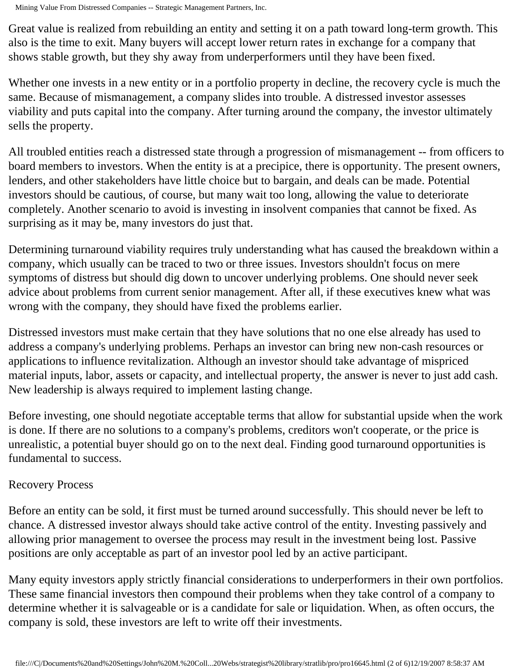Mining Value From Distressed Companies -- Strategic Management Partners, Inc.

Great value is realized from rebuilding an entity and setting it on a path toward long-term growth. This also is the time to exit. Many buyers will accept lower return rates in exchange for a company that shows stable growth, but they shy away from underperformers until they have been fixed.

Whether one invests in a new entity or in a portfolio property in decline, the recovery cycle is much the same. Because of mismanagement, a company slides into trouble. A distressed investor assesses viability and puts capital into the company. After turning around the company, the investor ultimately sells the property.

All troubled entities reach a distressed state through a progression of mismanagement -- from officers to board members to investors. When the entity is at a precipice, there is opportunity. The present owners, lenders, and other stakeholders have little choice but to bargain, and deals can be made. Potential investors should be cautious, of course, but many wait too long, allowing the value to deteriorate completely. Another scenario to avoid is investing in insolvent companies that cannot be fixed. As surprising as it may be, many investors do just that.

Determining turnaround viability requires truly understanding what has caused the breakdown within a company, which usually can be traced to two or three issues. Investors shouldn't focus on mere symptoms of distress but should dig down to uncover underlying problems. One should never seek advice about problems from current senior management. After all, if these executives knew what was wrong with the company, they should have fixed the problems earlier.

Distressed investors must make certain that they have solutions that no one else already has used to address a company's underlying problems. Perhaps an investor can bring new non-cash resources or applications to influence revitalization. Although an investor should take advantage of mispriced material inputs, labor, assets or capacity, and intellectual property, the answer is never to just add cash. New leadership is always required to implement lasting change.

Before investing, one should negotiate acceptable terms that allow for substantial upside when the work is done. If there are no solutions to a company's problems, creditors won't cooperate, or the price is unrealistic, a potential buyer should go on to the next deal. Finding good turnaround opportunities is fundamental to success.

## Recovery Process

Before an entity can be sold, it first must be turned around successfully. This should never be left to chance. A distressed investor always should take active control of the entity. Investing passively and allowing prior management to oversee the process may result in the investment being lost. Passive positions are only acceptable as part of an investor pool led by an active participant.

Many equity investors apply strictly financial considerations to underperformers in their own portfolios. These same financial investors then compound their problems when they take control of a company to determine whether it is salvageable or is a candidate for sale or liquidation. When, as often occurs, the company is sold, these investors are left to write off their investments.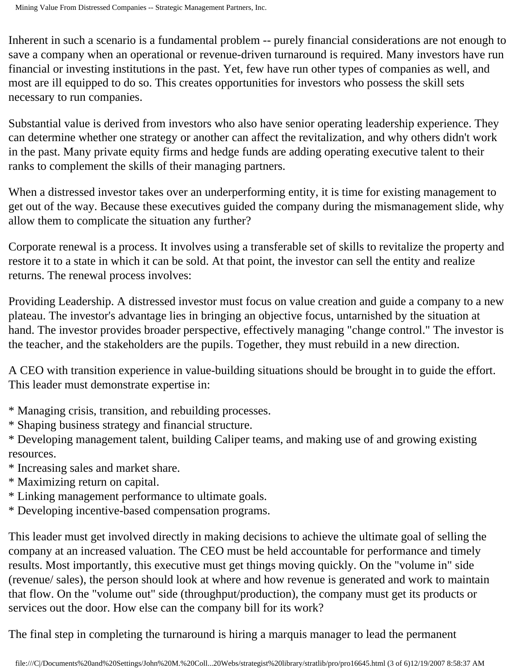Inherent in such a scenario is a fundamental problem -- purely financial considerations are not enough to save a company when an operational or revenue-driven turnaround is required. Many investors have run financial or investing institutions in the past. Yet, few have run other types of companies as well, and most are ill equipped to do so. This creates opportunities for investors who possess the skill sets necessary to run companies.

Substantial value is derived from investors who also have senior operating leadership experience. They can determine whether one strategy or another can affect the revitalization, and why others didn't work in the past. Many private equity firms and hedge funds are adding operating executive talent to their ranks to complement the skills of their managing partners.

When a distressed investor takes over an underperforming entity, it is time for existing management to get out of the way. Because these executives guided the company during the mismanagement slide, why allow them to complicate the situation any further?

Corporate renewal is a process. It involves using a transferable set of skills to revitalize the property and restore it to a state in which it can be sold. At that point, the investor can sell the entity and realize returns. The renewal process involves:

Providing Leadership. A distressed investor must focus on value creation and guide a company to a new plateau. The investor's advantage lies in bringing an objective focus, untarnished by the situation at hand. The investor provides broader perspective, effectively managing "change control." The investor is the teacher, and the stakeholders are the pupils. Together, they must rebuild in a new direction.

A CEO with transition experience in value-building situations should be brought in to guide the effort. This leader must demonstrate expertise in:

- \* Managing crisis, transition, and rebuilding processes.
- \* Shaping business strategy and financial structure.

\* Developing management talent, building Caliper teams, and making use of and growing existing resources.

- \* Increasing sales and market share.
- \* Maximizing return on capital.
- \* Linking management performance to ultimate goals.
- \* Developing incentive-based compensation programs.

This leader must get involved directly in making decisions to achieve the ultimate goal of selling the company at an increased valuation. The CEO must be held accountable for performance and timely results. Most importantly, this executive must get things moving quickly. On the "volume in" side (revenue/ sales), the person should look at where and how revenue is generated and work to maintain that flow. On the "volume out" side (throughput/production), the company must get its products or services out the door. How else can the company bill for its work?

The final step in completing the turnaround is hiring a marquis manager to lead the permanent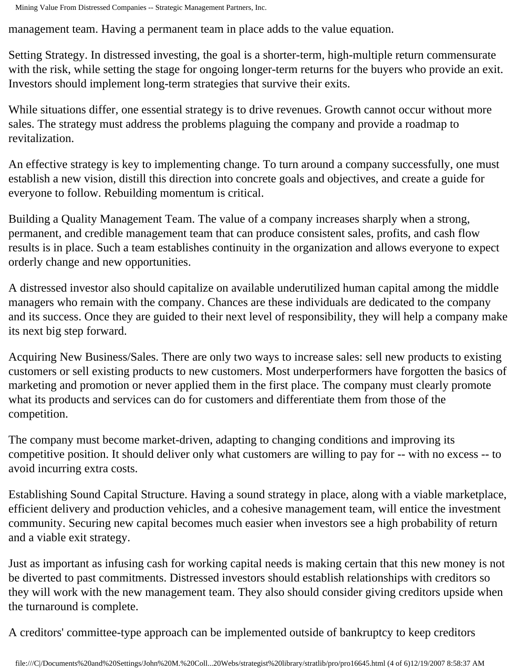management team. Having a permanent team in place adds to the value equation.

Setting Strategy. In distressed investing, the goal is a shorter-term, high-multiple return commensurate with the risk, while setting the stage for ongoing longer-term returns for the buyers who provide an exit. Investors should implement long-term strategies that survive their exits.

While situations differ, one essential strategy is to drive revenues. Growth cannot occur without more sales. The strategy must address the problems plaguing the company and provide a roadmap to revitalization.

An effective strategy is key to implementing change. To turn around a company successfully, one must establish a new vision, distill this direction into concrete goals and objectives, and create a guide for everyone to follow. Rebuilding momentum is critical.

Building a Quality Management Team. The value of a company increases sharply when a strong, permanent, and credible management team that can produce consistent sales, profits, and cash flow results is in place. Such a team establishes continuity in the organization and allows everyone to expect orderly change and new opportunities.

A distressed investor also should capitalize on available underutilized human capital among the middle managers who remain with the company. Chances are these individuals are dedicated to the company and its success. Once they are guided to their next level of responsibility, they will help a company make its next big step forward.

Acquiring New Business/Sales. There are only two ways to increase sales: sell new products to existing customers or sell existing products to new customers. Most underperformers have forgotten the basics of marketing and promotion or never applied them in the first place. The company must clearly promote what its products and services can do for customers and differentiate them from those of the competition.

The company must become market-driven, adapting to changing conditions and improving its competitive position. It should deliver only what customers are willing to pay for -- with no excess -- to avoid incurring extra costs.

Establishing Sound Capital Structure. Having a sound strategy in place, along with a viable marketplace, efficient delivery and production vehicles, and a cohesive management team, will entice the investment community. Securing new capital becomes much easier when investors see a high probability of return and a viable exit strategy.

Just as important as infusing cash for working capital needs is making certain that this new money is not be diverted to past commitments. Distressed investors should establish relationships with creditors so they will work with the new management team. They also should consider giving creditors upside when the turnaround is complete.

A creditors' committee-type approach can be implemented outside of bankruptcy to keep creditors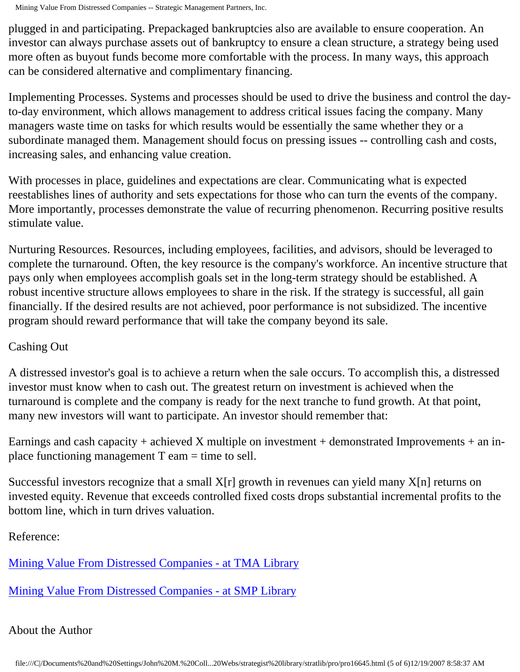Mining Value From Distressed Companies -- Strategic Management Partners, Inc.

plugged in and participating. Prepackaged bankruptcies also are available to ensure cooperation. An investor can always purchase assets out of bankruptcy to ensure a clean structure, a strategy being used more often as buyout funds become more comfortable with the process. In many ways, this approach can be considered alternative and complimentary financing.

Implementing Processes. Systems and processes should be used to drive the business and control the dayto-day environment, which allows management to address critical issues facing the company. Many managers waste time on tasks for which results would be essentially the same whether they or a subordinate managed them. Management should focus on pressing issues -- controlling cash and costs, increasing sales, and enhancing value creation.

With processes in place, guidelines and expectations are clear. Communicating what is expected reestablishes lines of authority and sets expectations for those who can turn the events of the company. More importantly, processes demonstrate the value of recurring phenomenon. Recurring positive results stimulate value.

Nurturing Resources. Resources, including employees, facilities, and advisors, should be leveraged to complete the turnaround. Often, the key resource is the company's workforce. An incentive structure that pays only when employees accomplish goals set in the long-term strategy should be established. A robust incentive structure allows employees to share in the risk. If the strategy is successful, all gain financially. If the desired results are not achieved, poor performance is not subsidized. The incentive program should reward performance that will take the company beyond its sale.

## Cashing Out

A distressed investor's goal is to achieve a return when the sale occurs. To accomplish this, a distressed investor must know when to cash out. The greatest return on investment is achieved when the turnaround is complete and the company is ready for the next tranche to fund growth. At that point, many new investors will want to participate. An investor should remember that:

Earnings and cash capacity + achieved X multiple on investment + demonstrated Improvements + an inplace functioning management  $T$  eam  $=$  time to sell.

Successful investors recognize that a small  $X[r]$  growth in revenues can yield many  $X[n]$  returns on invested equity. Revenue that exceeds controlled fixed costs drops substantial incremental profits to the bottom line, which in turn drives valuation.

Reference:

[Mining Value From Distressed Companies - at TMA Library](http://www.turnaround.org/print/articles.asp?objectID=6732)

[Mining Value From Distressed Companies - at SMP Library](http://members.aol.com/stratlib3/jcrmining.html)

## About the Author